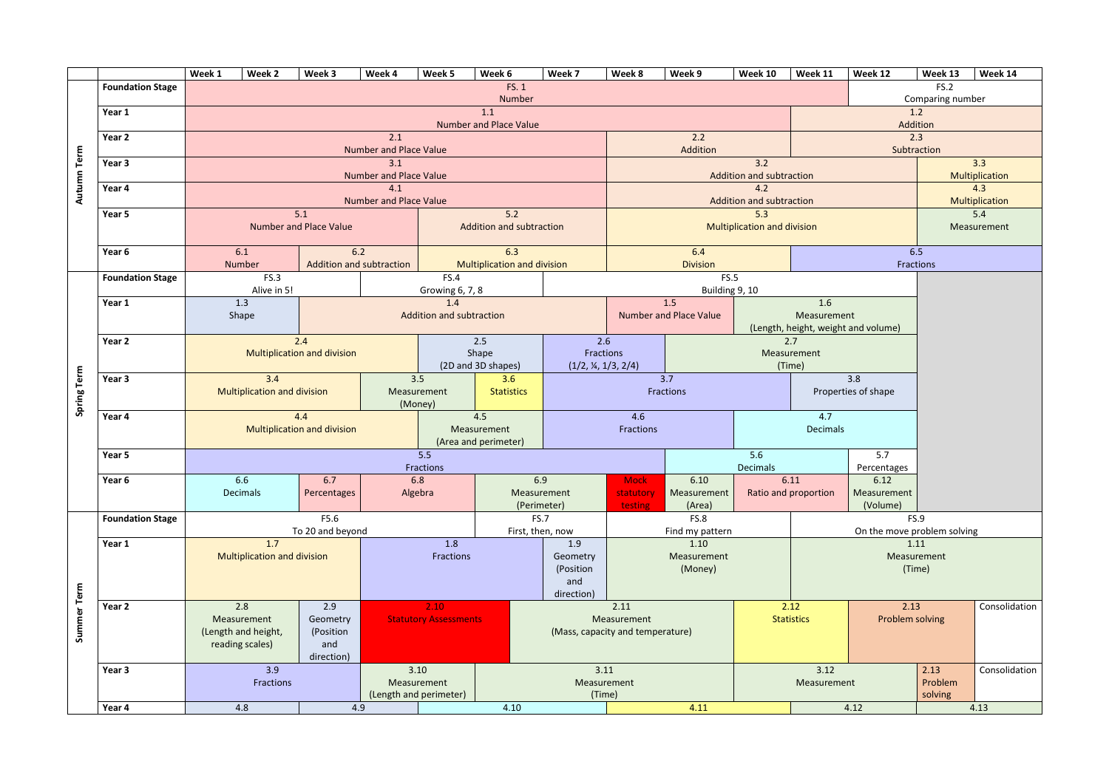

| FS. 1<br>FS.2<br><b>Foundation Stage</b><br>Number<br>Comparing number<br>1.1<br>1.2<br>Year 1<br><b>Number and Place Value</b><br>Addition<br>2.2<br>2.3<br>2.1<br>Year 2<br>Addition<br><b>Number and Place Value</b><br>Subtraction<br>Term<br>3.2<br>Year 3<br>3.1<br>Autumn<br><b>Number and Place Value</b><br>Addition and subtraction<br>4.2<br>4.1<br>Year 4<br><b>Number and Place Value</b><br><b>Addition and subtraction</b><br>5.3<br>5.1<br>5.2<br>Year 5<br><b>Number and Place Value</b><br><b>Addition and subtraction</b><br><b>Multiplication and division</b><br>6.1<br>6.2<br>6.4<br>6.5<br>6.3<br>Year 6<br><b>Addition and subtraction</b><br><b>Multiplication and division</b><br><b>Division</b><br>Number<br>Fractions<br>FS.3<br><b>FS.4</b><br>FS.5<br><b>Foundation Stage</b><br>Alive in 5!<br>Growing 6, 7, 8<br>Building 9, 10<br>1.5<br>1.3<br>1.4<br>1.6<br>Year 1<br><b>Addition and subtraction</b><br><b>Number and Place Value</b><br>Measurement<br>Shape<br>(Length, height, weight and volume)<br>2.6<br>2.7<br>2.5<br>Year 2<br>2.4<br><b>Multiplication and division</b><br>Shape<br>Fractions<br>Measurement<br>(2D and 3D shapes)<br>(1/2, 4, 1/3, 2/4)<br>(Time)<br>Spring Term<br>3.4<br>3.5<br>3.6<br>3.7<br>3.8<br>Year 3<br><b>Multiplication and division</b><br>Fractions<br><b>Statistics</b><br>Properties of shape<br>Measurement<br>(Money)<br>4.6<br>4.7<br>4.4<br>4.5<br>Year 4<br>Fractions<br><b>Decimals</b><br><b>Multiplication and division</b><br>Measurement<br>(Area and perimeter)<br>5.5<br>5.6<br>5.7<br>Year 5<br>Decimals<br>Fractions<br>Percentages<br>6.9<br>6.11<br>6.12<br>Year 6<br>6.6<br>6.7<br>6.8<br>6.10<br><b>Mock</b><br>Algebra<br>Decimals<br>Percentages<br>Measurement<br>Measurement<br>Ratio and proportion<br>Measurement<br>statutory<br>(Perimeter)<br>(Volume)<br>(Area)<br>testing<br>F5.6<br>FS.8<br><b>FS.9</b><br><b>Foundation Stage</b><br><b>FS.7</b><br>To 20 and beyond<br>On the move problem solving<br>First, then, now<br>Find my pattern<br>1.7<br>1.10<br>1.8<br>1.9<br>1.11<br>Year 1<br>Fractions<br><b>Multiplication and division</b><br>Measurement<br>Measurement<br>Geometry<br>(Position<br>(Money)<br>(Time)<br>and<br>Summer Term<br>direction)<br>2.9<br>2.8<br>2.10<br>2.11<br>2.12<br>2.13<br>Year 2<br><b>Statutory Assessments</b><br><b>Statistics</b><br>Problem solving<br>Measurement<br>Geometry<br>Measurement<br>(Length and height,<br>(Position<br>(Mass, capacity and temperature)<br>reading scales)<br>and<br>direction)<br>3.9<br>3.12<br>3.10<br>3.11<br>2.13<br>Year 3<br>Fractions<br>Problem<br>Measurement<br>Measurement<br>Measurement<br>(Time)<br>solving |  |  | Week 1 | Week 2 | Week 3 | Week 4                 | Week 5 | Week 6 | Week 7 | Week 8 | Week 9 | Week 10 | Week 11 | Week 12 | Week 13 | W |  |
|----------------------------------------------------------------------------------------------------------------------------------------------------------------------------------------------------------------------------------------------------------------------------------------------------------------------------------------------------------------------------------------------------------------------------------------------------------------------------------------------------------------------------------------------------------------------------------------------------------------------------------------------------------------------------------------------------------------------------------------------------------------------------------------------------------------------------------------------------------------------------------------------------------------------------------------------------------------------------------------------------------------------------------------------------------------------------------------------------------------------------------------------------------------------------------------------------------------------------------------------------------------------------------------------------------------------------------------------------------------------------------------------------------------------------------------------------------------------------------------------------------------------------------------------------------------------------------------------------------------------------------------------------------------------------------------------------------------------------------------------------------------------------------------------------------------------------------------------------------------------------------------------------------------------------------------------------------------------------------------------------------------------------------------------------------------------------------------------------------------------------------------------------------------------------------------------------------------------------------------------------------------------------------------------------------------------------------------------------------------------------------------------------------------------------------------------------------------------------------------------------------------------------------------------------------------------------------------------------------------------------------------------------------------------------------------------------------------|--|--|--------|--------|--------|------------------------|--------|--------|--------|--------|--------|---------|---------|---------|---------|---|--|
| 3.3<br><b>Multiplic</b><br>4.3<br><b>Multiplic</b><br>5.4<br>Measure<br>C(<br>C                                                                                                                                                                                                                                                                                                                                                                                                                                                                                                                                                                                                                                                                                                                                                                                                                                                                                                                                                                                                                                                                                                                                                                                                                                                                                                                                                                                                                                                                                                                                                                                                                                                                                                                                                                                                                                                                                                                                                                                                                                                                                                                                                                                                                                                                                                                                                                                                                                                                                                                                                                                                                                |  |  |        |        |        |                        |        |        |        |        |        |         |         |         |         |   |  |
|                                                                                                                                                                                                                                                                                                                                                                                                                                                                                                                                                                                                                                                                                                                                                                                                                                                                                                                                                                                                                                                                                                                                                                                                                                                                                                                                                                                                                                                                                                                                                                                                                                                                                                                                                                                                                                                                                                                                                                                                                                                                                                                                                                                                                                                                                                                                                                                                                                                                                                                                                                                                                                                                                                                |  |  |        |        |        |                        |        |        |        |        |        |         |         |         |         |   |  |
|                                                                                                                                                                                                                                                                                                                                                                                                                                                                                                                                                                                                                                                                                                                                                                                                                                                                                                                                                                                                                                                                                                                                                                                                                                                                                                                                                                                                                                                                                                                                                                                                                                                                                                                                                                                                                                                                                                                                                                                                                                                                                                                                                                                                                                                                                                                                                                                                                                                                                                                                                                                                                                                                                                                |  |  |        |        |        |                        |        |        |        |        |        |         |         |         |         |   |  |
|                                                                                                                                                                                                                                                                                                                                                                                                                                                                                                                                                                                                                                                                                                                                                                                                                                                                                                                                                                                                                                                                                                                                                                                                                                                                                                                                                                                                                                                                                                                                                                                                                                                                                                                                                                                                                                                                                                                                                                                                                                                                                                                                                                                                                                                                                                                                                                                                                                                                                                                                                                                                                                                                                                                |  |  |        |        |        |                        |        |        |        |        |        |         |         |         |         |   |  |
|                                                                                                                                                                                                                                                                                                                                                                                                                                                                                                                                                                                                                                                                                                                                                                                                                                                                                                                                                                                                                                                                                                                                                                                                                                                                                                                                                                                                                                                                                                                                                                                                                                                                                                                                                                                                                                                                                                                                                                                                                                                                                                                                                                                                                                                                                                                                                                                                                                                                                                                                                                                                                                                                                                                |  |  |        |        |        |                        |        |        |        |        |        |         |         |         |         |   |  |
|                                                                                                                                                                                                                                                                                                                                                                                                                                                                                                                                                                                                                                                                                                                                                                                                                                                                                                                                                                                                                                                                                                                                                                                                                                                                                                                                                                                                                                                                                                                                                                                                                                                                                                                                                                                                                                                                                                                                                                                                                                                                                                                                                                                                                                                                                                                                                                                                                                                                                                                                                                                                                                                                                                                |  |  |        |        |        |                        |        |        |        |        |        |         |         |         |         |   |  |
|                                                                                                                                                                                                                                                                                                                                                                                                                                                                                                                                                                                                                                                                                                                                                                                                                                                                                                                                                                                                                                                                                                                                                                                                                                                                                                                                                                                                                                                                                                                                                                                                                                                                                                                                                                                                                                                                                                                                                                                                                                                                                                                                                                                                                                                                                                                                                                                                                                                                                                                                                                                                                                                                                                                |  |  |        |        |        |                        |        |        |        |        |        |         |         |         |         |   |  |
|                                                                                                                                                                                                                                                                                                                                                                                                                                                                                                                                                                                                                                                                                                                                                                                                                                                                                                                                                                                                                                                                                                                                                                                                                                                                                                                                                                                                                                                                                                                                                                                                                                                                                                                                                                                                                                                                                                                                                                                                                                                                                                                                                                                                                                                                                                                                                                                                                                                                                                                                                                                                                                                                                                                |  |  |        |        |        |                        |        |        |        |        |        |         |         |         |         |   |  |
|                                                                                                                                                                                                                                                                                                                                                                                                                                                                                                                                                                                                                                                                                                                                                                                                                                                                                                                                                                                                                                                                                                                                                                                                                                                                                                                                                                                                                                                                                                                                                                                                                                                                                                                                                                                                                                                                                                                                                                                                                                                                                                                                                                                                                                                                                                                                                                                                                                                                                                                                                                                                                                                                                                                |  |  |        |        |        |                        |        |        |        |        |        |         |         |         |         |   |  |
|                                                                                                                                                                                                                                                                                                                                                                                                                                                                                                                                                                                                                                                                                                                                                                                                                                                                                                                                                                                                                                                                                                                                                                                                                                                                                                                                                                                                                                                                                                                                                                                                                                                                                                                                                                                                                                                                                                                                                                                                                                                                                                                                                                                                                                                                                                                                                                                                                                                                                                                                                                                                                                                                                                                |  |  |        |        |        |                        |        |        |        |        |        |         |         |         |         |   |  |
|                                                                                                                                                                                                                                                                                                                                                                                                                                                                                                                                                                                                                                                                                                                                                                                                                                                                                                                                                                                                                                                                                                                                                                                                                                                                                                                                                                                                                                                                                                                                                                                                                                                                                                                                                                                                                                                                                                                                                                                                                                                                                                                                                                                                                                                                                                                                                                                                                                                                                                                                                                                                                                                                                                                |  |  |        |        |        |                        |        |        |        |        |        |         |         |         |         |   |  |
|                                                                                                                                                                                                                                                                                                                                                                                                                                                                                                                                                                                                                                                                                                                                                                                                                                                                                                                                                                                                                                                                                                                                                                                                                                                                                                                                                                                                                                                                                                                                                                                                                                                                                                                                                                                                                                                                                                                                                                                                                                                                                                                                                                                                                                                                                                                                                                                                                                                                                                                                                                                                                                                                                                                |  |  |        |        |        |                        |        |        |        |        |        |         |         |         |         |   |  |
|                                                                                                                                                                                                                                                                                                                                                                                                                                                                                                                                                                                                                                                                                                                                                                                                                                                                                                                                                                                                                                                                                                                                                                                                                                                                                                                                                                                                                                                                                                                                                                                                                                                                                                                                                                                                                                                                                                                                                                                                                                                                                                                                                                                                                                                                                                                                                                                                                                                                                                                                                                                                                                                                                                                |  |  |        |        |        |                        |        |        |        |        |        |         |         |         |         |   |  |
|                                                                                                                                                                                                                                                                                                                                                                                                                                                                                                                                                                                                                                                                                                                                                                                                                                                                                                                                                                                                                                                                                                                                                                                                                                                                                                                                                                                                                                                                                                                                                                                                                                                                                                                                                                                                                                                                                                                                                                                                                                                                                                                                                                                                                                                                                                                                                                                                                                                                                                                                                                                                                                                                                                                |  |  |        |        |        |                        |        |        |        |        |        |         |         |         |         |   |  |
|                                                                                                                                                                                                                                                                                                                                                                                                                                                                                                                                                                                                                                                                                                                                                                                                                                                                                                                                                                                                                                                                                                                                                                                                                                                                                                                                                                                                                                                                                                                                                                                                                                                                                                                                                                                                                                                                                                                                                                                                                                                                                                                                                                                                                                                                                                                                                                                                                                                                                                                                                                                                                                                                                                                |  |  |        |        |        |                        |        |        |        |        |        |         |         |         |         |   |  |
|                                                                                                                                                                                                                                                                                                                                                                                                                                                                                                                                                                                                                                                                                                                                                                                                                                                                                                                                                                                                                                                                                                                                                                                                                                                                                                                                                                                                                                                                                                                                                                                                                                                                                                                                                                                                                                                                                                                                                                                                                                                                                                                                                                                                                                                                                                                                                                                                                                                                                                                                                                                                                                                                                                                |  |  |        |        |        |                        |        |        |        |        |        |         |         |         |         |   |  |
|                                                                                                                                                                                                                                                                                                                                                                                                                                                                                                                                                                                                                                                                                                                                                                                                                                                                                                                                                                                                                                                                                                                                                                                                                                                                                                                                                                                                                                                                                                                                                                                                                                                                                                                                                                                                                                                                                                                                                                                                                                                                                                                                                                                                                                                                                                                                                                                                                                                                                                                                                                                                                                                                                                                |  |  |        |        |        |                        |        |        |        |        |        |         |         |         |         |   |  |
|                                                                                                                                                                                                                                                                                                                                                                                                                                                                                                                                                                                                                                                                                                                                                                                                                                                                                                                                                                                                                                                                                                                                                                                                                                                                                                                                                                                                                                                                                                                                                                                                                                                                                                                                                                                                                                                                                                                                                                                                                                                                                                                                                                                                                                                                                                                                                                                                                                                                                                                                                                                                                                                                                                                |  |  |        |        |        |                        |        |        |        |        |        |         |         |         |         |   |  |
|                                                                                                                                                                                                                                                                                                                                                                                                                                                                                                                                                                                                                                                                                                                                                                                                                                                                                                                                                                                                                                                                                                                                                                                                                                                                                                                                                                                                                                                                                                                                                                                                                                                                                                                                                                                                                                                                                                                                                                                                                                                                                                                                                                                                                                                                                                                                                                                                                                                                                                                                                                                                                                                                                                                |  |  |        |        |        |                        |        |        |        |        |        |         |         |         |         |   |  |
|                                                                                                                                                                                                                                                                                                                                                                                                                                                                                                                                                                                                                                                                                                                                                                                                                                                                                                                                                                                                                                                                                                                                                                                                                                                                                                                                                                                                                                                                                                                                                                                                                                                                                                                                                                                                                                                                                                                                                                                                                                                                                                                                                                                                                                                                                                                                                                                                                                                                                                                                                                                                                                                                                                                |  |  |        |        |        |                        |        |        |        |        |        |         |         |         |         |   |  |
|                                                                                                                                                                                                                                                                                                                                                                                                                                                                                                                                                                                                                                                                                                                                                                                                                                                                                                                                                                                                                                                                                                                                                                                                                                                                                                                                                                                                                                                                                                                                                                                                                                                                                                                                                                                                                                                                                                                                                                                                                                                                                                                                                                                                                                                                                                                                                                                                                                                                                                                                                                                                                                                                                                                |  |  |        |        |        |                        |        |        |        |        |        |         |         |         |         |   |  |
|                                                                                                                                                                                                                                                                                                                                                                                                                                                                                                                                                                                                                                                                                                                                                                                                                                                                                                                                                                                                                                                                                                                                                                                                                                                                                                                                                                                                                                                                                                                                                                                                                                                                                                                                                                                                                                                                                                                                                                                                                                                                                                                                                                                                                                                                                                                                                                                                                                                                                                                                                                                                                                                                                                                |  |  |        |        |        |                        |        |        |        |        |        |         |         |         |         |   |  |
|                                                                                                                                                                                                                                                                                                                                                                                                                                                                                                                                                                                                                                                                                                                                                                                                                                                                                                                                                                                                                                                                                                                                                                                                                                                                                                                                                                                                                                                                                                                                                                                                                                                                                                                                                                                                                                                                                                                                                                                                                                                                                                                                                                                                                                                                                                                                                                                                                                                                                                                                                                                                                                                                                                                |  |  |        |        |        |                        |        |        |        |        |        |         |         |         |         |   |  |
|                                                                                                                                                                                                                                                                                                                                                                                                                                                                                                                                                                                                                                                                                                                                                                                                                                                                                                                                                                                                                                                                                                                                                                                                                                                                                                                                                                                                                                                                                                                                                                                                                                                                                                                                                                                                                                                                                                                                                                                                                                                                                                                                                                                                                                                                                                                                                                                                                                                                                                                                                                                                                                                                                                                |  |  |        |        |        |                        |        |        |        |        |        |         |         |         |         |   |  |
|                                                                                                                                                                                                                                                                                                                                                                                                                                                                                                                                                                                                                                                                                                                                                                                                                                                                                                                                                                                                                                                                                                                                                                                                                                                                                                                                                                                                                                                                                                                                                                                                                                                                                                                                                                                                                                                                                                                                                                                                                                                                                                                                                                                                                                                                                                                                                                                                                                                                                                                                                                                                                                                                                                                |  |  |        |        |        |                        |        |        |        |        |        |         |         |         |         |   |  |
|                                                                                                                                                                                                                                                                                                                                                                                                                                                                                                                                                                                                                                                                                                                                                                                                                                                                                                                                                                                                                                                                                                                                                                                                                                                                                                                                                                                                                                                                                                                                                                                                                                                                                                                                                                                                                                                                                                                                                                                                                                                                                                                                                                                                                                                                                                                                                                                                                                                                                                                                                                                                                                                                                                                |  |  |        |        |        |                        |        |        |        |        |        |         |         |         |         |   |  |
|                                                                                                                                                                                                                                                                                                                                                                                                                                                                                                                                                                                                                                                                                                                                                                                                                                                                                                                                                                                                                                                                                                                                                                                                                                                                                                                                                                                                                                                                                                                                                                                                                                                                                                                                                                                                                                                                                                                                                                                                                                                                                                                                                                                                                                                                                                                                                                                                                                                                                                                                                                                                                                                                                                                |  |  |        |        |        |                        |        |        |        |        |        |         |         |         |         |   |  |
|                                                                                                                                                                                                                                                                                                                                                                                                                                                                                                                                                                                                                                                                                                                                                                                                                                                                                                                                                                                                                                                                                                                                                                                                                                                                                                                                                                                                                                                                                                                                                                                                                                                                                                                                                                                                                                                                                                                                                                                                                                                                                                                                                                                                                                                                                                                                                                                                                                                                                                                                                                                                                                                                                                                |  |  |        |        |        |                        |        |        |        |        |        |         |         |         |         |   |  |
|                                                                                                                                                                                                                                                                                                                                                                                                                                                                                                                                                                                                                                                                                                                                                                                                                                                                                                                                                                                                                                                                                                                                                                                                                                                                                                                                                                                                                                                                                                                                                                                                                                                                                                                                                                                                                                                                                                                                                                                                                                                                                                                                                                                                                                                                                                                                                                                                                                                                                                                                                                                                                                                                                                                |  |  |        |        |        |                        |        |        |        |        |        |         |         |         |         |   |  |
|                                                                                                                                                                                                                                                                                                                                                                                                                                                                                                                                                                                                                                                                                                                                                                                                                                                                                                                                                                                                                                                                                                                                                                                                                                                                                                                                                                                                                                                                                                                                                                                                                                                                                                                                                                                                                                                                                                                                                                                                                                                                                                                                                                                                                                                                                                                                                                                                                                                                                                                                                                                                                                                                                                                |  |  |        |        |        |                        |        |        |        |        |        |         |         |         |         |   |  |
|                                                                                                                                                                                                                                                                                                                                                                                                                                                                                                                                                                                                                                                                                                                                                                                                                                                                                                                                                                                                                                                                                                                                                                                                                                                                                                                                                                                                                                                                                                                                                                                                                                                                                                                                                                                                                                                                                                                                                                                                                                                                                                                                                                                                                                                                                                                                                                                                                                                                                                                                                                                                                                                                                                                |  |  |        |        |        |                        |        |        |        |        |        |         |         |         |         |   |  |
|                                                                                                                                                                                                                                                                                                                                                                                                                                                                                                                                                                                                                                                                                                                                                                                                                                                                                                                                                                                                                                                                                                                                                                                                                                                                                                                                                                                                                                                                                                                                                                                                                                                                                                                                                                                                                                                                                                                                                                                                                                                                                                                                                                                                                                                                                                                                                                                                                                                                                                                                                                                                                                                                                                                |  |  |        |        |        |                        |        |        |        |        |        |         |         |         |         |   |  |
|                                                                                                                                                                                                                                                                                                                                                                                                                                                                                                                                                                                                                                                                                                                                                                                                                                                                                                                                                                                                                                                                                                                                                                                                                                                                                                                                                                                                                                                                                                                                                                                                                                                                                                                                                                                                                                                                                                                                                                                                                                                                                                                                                                                                                                                                                                                                                                                                                                                                                                                                                                                                                                                                                                                |  |  |        |        |        |                        |        |        |        |        |        |         |         |         |         |   |  |
|                                                                                                                                                                                                                                                                                                                                                                                                                                                                                                                                                                                                                                                                                                                                                                                                                                                                                                                                                                                                                                                                                                                                                                                                                                                                                                                                                                                                                                                                                                                                                                                                                                                                                                                                                                                                                                                                                                                                                                                                                                                                                                                                                                                                                                                                                                                                                                                                                                                                                                                                                                                                                                                                                                                |  |  |        |        |        |                        |        |        |        |        |        |         |         |         |         |   |  |
|                                                                                                                                                                                                                                                                                                                                                                                                                                                                                                                                                                                                                                                                                                                                                                                                                                                                                                                                                                                                                                                                                                                                                                                                                                                                                                                                                                                                                                                                                                                                                                                                                                                                                                                                                                                                                                                                                                                                                                                                                                                                                                                                                                                                                                                                                                                                                                                                                                                                                                                                                                                                                                                                                                                |  |  |        |        |        |                        |        |        |        |        |        |         |         |         |         |   |  |
|                                                                                                                                                                                                                                                                                                                                                                                                                                                                                                                                                                                                                                                                                                                                                                                                                                                                                                                                                                                                                                                                                                                                                                                                                                                                                                                                                                                                                                                                                                                                                                                                                                                                                                                                                                                                                                                                                                                                                                                                                                                                                                                                                                                                                                                                                                                                                                                                                                                                                                                                                                                                                                                                                                                |  |  |        |        |        |                        |        |        |        |        |        |         |         |         |         |   |  |
|                                                                                                                                                                                                                                                                                                                                                                                                                                                                                                                                                                                                                                                                                                                                                                                                                                                                                                                                                                                                                                                                                                                                                                                                                                                                                                                                                                                                                                                                                                                                                                                                                                                                                                                                                                                                                                                                                                                                                                                                                                                                                                                                                                                                                                                                                                                                                                                                                                                                                                                                                                                                                                                                                                                |  |  |        |        |        |                        |        |        |        |        |        |         |         |         |         |   |  |
| 4.9<br>4.10<br>4.11<br>4.12<br>Year 4<br>4.8<br>4.13                                                                                                                                                                                                                                                                                                                                                                                                                                                                                                                                                                                                                                                                                                                                                                                                                                                                                                                                                                                                                                                                                                                                                                                                                                                                                                                                                                                                                                                                                                                                                                                                                                                                                                                                                                                                                                                                                                                                                                                                                                                                                                                                                                                                                                                                                                                                                                                                                                                                                                                                                                                                                                                           |  |  |        |        |        | (Length and perimeter) |        |        |        |        |        |         |         |         |         |   |  |